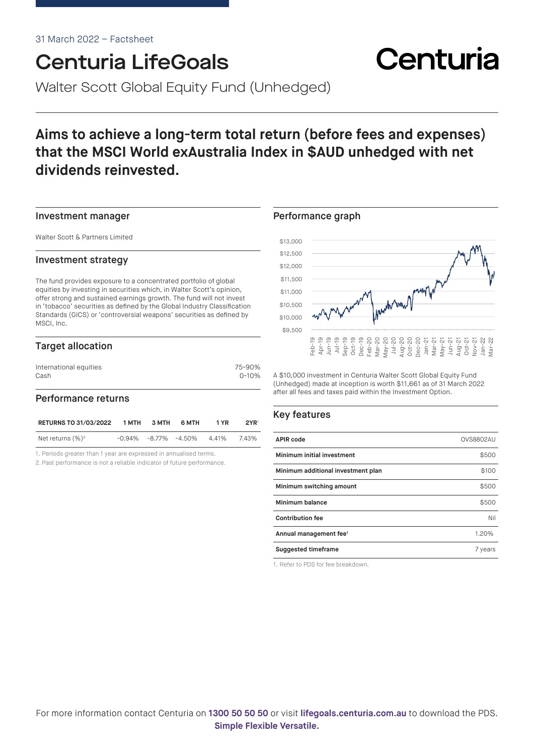# Centuria LifeGoals

Walter Scott Global Equity Fund (Unhedged)

## **Aims to achieve a long-term total return (before fees and expenses) that the MSCI World exAustralia Index in \$AUD unhedged with net dividends reinvested.**

#### Investment manager

Walter Scott & Partners Limited

#### Investment strategy

The fund provides exposure to a concentrated portfolio of global equities by investing in securities which, in Walter Scott's opinion, offer strong and sustained earnings growth. The fund will not invest in 'tobacco' securities as defined by the Global Industry Classification Standards (GICS) or 'controversial weapons' securities as defined by MSCI, Inc.

#### Target allocation

| International equities | 75-90%    |
|------------------------|-----------|
| Cash                   | $0 - 10%$ |
|                        |           |

#### Performance returns

| <b>RETURNS TO 31/03/2022</b> | 1 MTH | 3 MTH | 6 MTH                                  | 1 YR | 2YR <sup>1</sup> |
|------------------------------|-------|-------|----------------------------------------|------|------------------|
| Net returns $(\%)^2$         |       |       | $-0.94\%$ $-8.77\%$ $-4.50\%$ $4.41\%$ |      | 743%             |

1. Periods greater than 1 year are expressed in annualised terms.

2. Past performance is not a reliable indicator of future performance.

#### Performance graph



Centuria

A \$10,000 investment in Centuria Walter Scott Global Equity Fund (Unhedged) made at inception is worth \$11,661 as of 31 March 2022 after all fees and taxes paid within the Investment Option.

#### Key features

| <b>APIR code</b>                   | <b>OVS8802AU</b> |
|------------------------------------|------------------|
| Minimum initial investment         | \$500            |
| Minimum additional investment plan | \$100            |
| Minimum switching amount           | \$500            |
| Minimum balance                    | \$500            |
| <b>Contribution fee</b>            | Nil              |
| Annual management fee <sup>1</sup> | 1.20%            |
| <b>Suggested timeframe</b>         | 7 years          |

1. Refer to PDS for fee breakdown.